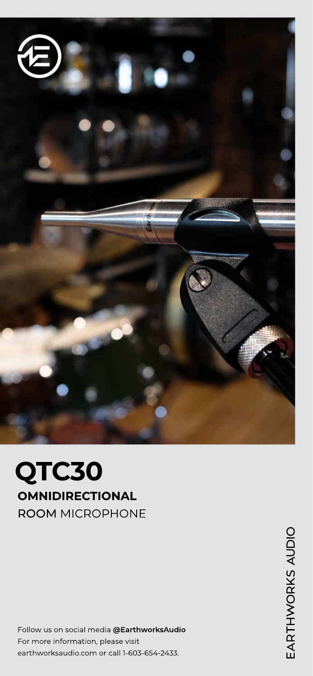

# QTC30 OMNIDIRECTIONAL ROOM MICROPHONE

Follow us on social media @EarthworksAudio For more information, please visit earthworksaudio.com or call 1-603-654-2433.

EARTHWORKS AUDIO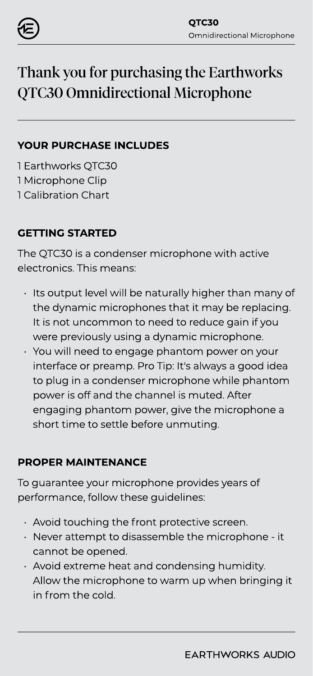

# Thank you for purchasing the Earthworks QTC30 Omnidirectional Microphone

### YOUR PURCHASE INCLUDES

1 Earthworks QTC30 1 Microphone Clip 1 Calibration Chart

### GETTING STARTED

The QTC30 is a condenser microphone with active electronics. This means:

- Its output level will be naturally higher than many of the dynamic microphones that it may be replacing. It is not uncommon to need to reduce gain if you were previously using a dynamic microphone.
- You will need to engage phantom power on your interface or preamp. Pro Tip: It's always a good idea to plug in a condenser microphone while phantom power is off and the channel is muted. After engaging phantom power, give the microphone a short time to settle before unmuting.

### PROPER MAINTENANCE

To guarantee your microphone provides years of performance, follow these guidelines:

- $\cdot$  Avoid touching the front protective screen.
- $\cdot$  Never attempt to disassemble the microphone it cannot be opened.
- Avoid extreme heat and condensing humidity. Allow the microphone to warm up when bringing it in from the cold.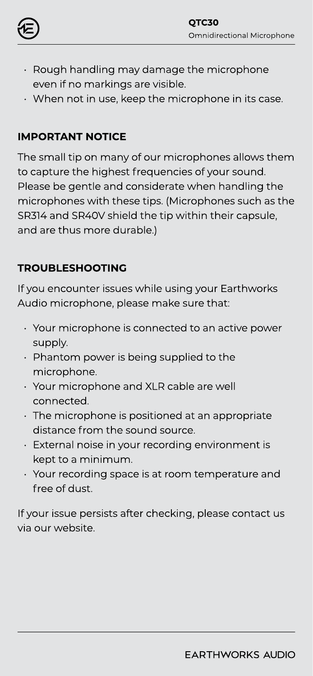

- Rough handling may damage the microphone even if no markings are visible.
- When not in use, keep the microphone in its case.

### IMPORTANT NOTICE

The small tip on many of our microphones allows them to capture the highest frequencies of your sound. Please be gentle and considerate when handling the microphones with these tips. (Microphones such as the SR314 and SR40V shield the tip within their capsule, and are thus more durable.)

### TROUBLESHOOTING

If you encounter issues while using your Earthworks Audio microphone, please make sure that:

- Your microphone is connected to an active power supply.
- Phantom power is being supplied to the microphone.
- Your microphone and XLR cable are well connected.
- The microphone is positioned at an appropriate distance from the sound source.
- External noise in your recording environment is kept to a minimum.
- Your recording space is at room temperature and free of dust.

If your issue persists after checking, please contact us via our website.